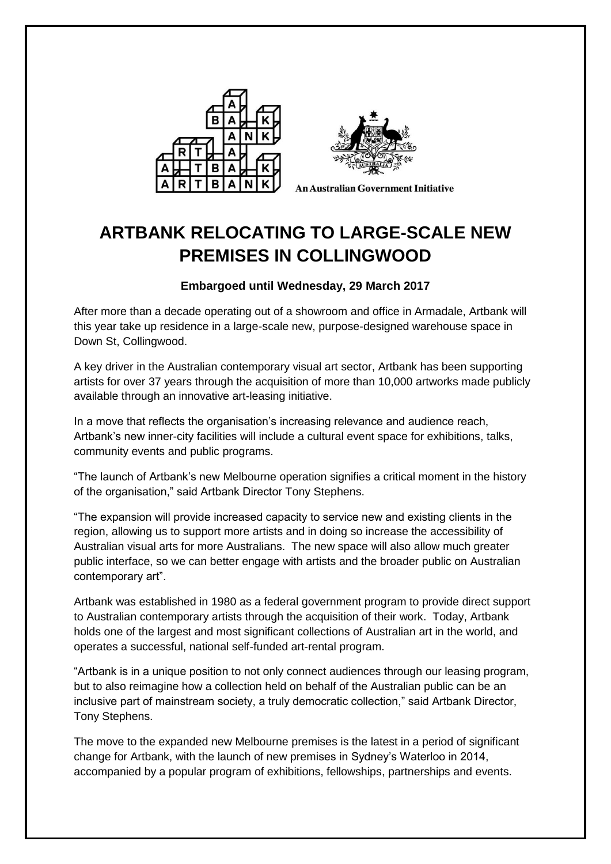



**An Australian Government Initiative** 

## **ARTBANK RELOCATING TO LARGE-SCALE NEW PREMISES IN COLLINGWOOD**

## **Embargoed until Wednesday, 29 March 2017**

After more than a decade operating out of a showroom and office in Armadale, Artbank will this year take up residence in a large-scale new, purpose-designed warehouse space in Down St, Collingwood.

A key driver in the Australian contemporary visual art sector, Artbank has been supporting artists for over 37 years through the acquisition of more than 10,000 artworks made publicly available through an innovative art-leasing initiative.

In a move that reflects the organisation's increasing relevance and audience reach, Artbank's new inner-city facilities will include a cultural event space for exhibitions, talks, community events and public programs.

"The launch of Artbank's new Melbourne operation signifies a critical moment in the history of the organisation," said Artbank Director Tony Stephens.

"The expansion will provide increased capacity to service new and existing clients in the region, allowing us to support more artists and in doing so increase the accessibility of Australian visual arts for more Australians. The new space will also allow much greater public interface, so we can better engage with artists and the broader public on Australian contemporary art".

Artbank was established in 1980 as a federal government program to provide direct support to Australian contemporary artists through the acquisition of their work. Today, Artbank holds one of the largest and most significant collections of Australian art in the world, and operates a successful, national self-funded art-rental program.

"Artbank is in a unique position to not only connect audiences through our leasing program, but to also reimagine how a collection held on behalf of the Australian public can be an inclusive part of mainstream society, a truly democratic collection," said Artbank Director, Tony Stephens.

The move to the expanded new Melbourne premises is the latest in a period of significant change for Artbank, with the launch of new premises in Sydney's Waterloo in 2014, accompanied by a popular program of exhibitions, fellowships, partnerships and events.